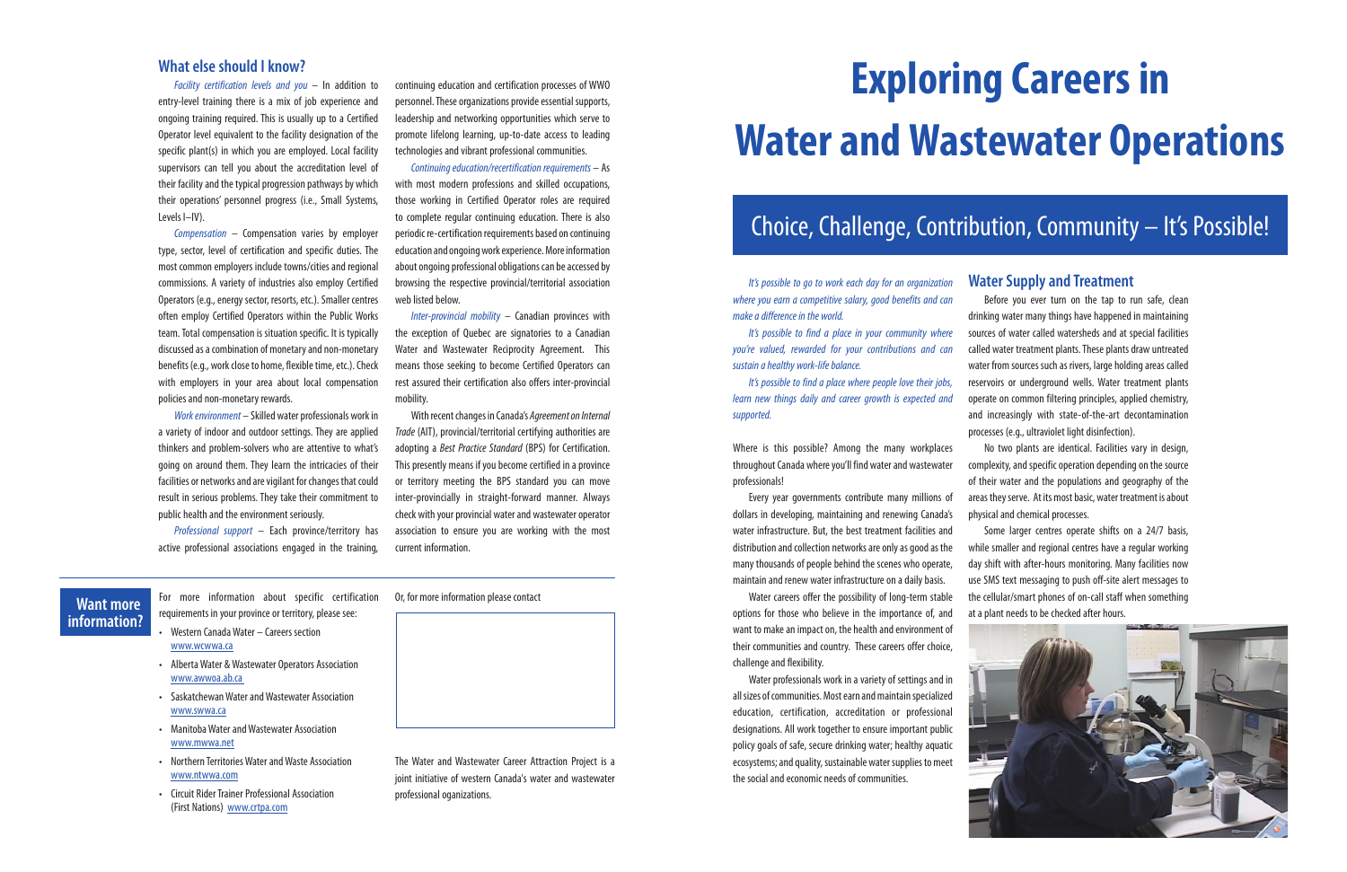# Choice, Challenge, Contribution, Community – It's Possible!

# **Exploring Careers in Water and Wastewater Operations**

*It's possible to go to work each day for an organization where you earn a competitive salary, good benefits and can make a difference in the world.*

*It's possible to find a place in your community where you're valued, rewarded for your contributions and can sustain a healthy work-life balance.*

*It's possible to find a place where people love their jobs, learn new things daily and career growth is expected and supported.*

Where is this possible? Among the many workplaces throughout Canada where you'll find water and wastewater professionals!

Every year governments contribute many millions of dollars in developing, maintaining and renewing Canada's water infrastructure. But, the best treatment facilities and distribution and collection networks are only as good as the many thousands of people behind the scenes who operate, maintain and renew water infrastructure on a daily basis.

Water careers offer the possibility of long-term stable options for those who believe in the importance of, and want to make an impact on, the health and environment of their communities and country. These careers offer choice, challenge and flexibility.

Water professionals work in a variety of settings and in all sizes of communities. Most earn and maintain specialized education, certification, accreditation or professional designations. All work together to ensure important public policy goals of safe, secure drinking water; healthy aquatic ecosystems; and quality, sustainable water supplies to meet the social and economic needs of communities.

### **What else should I know?**

*Facility certification levels and you* – In addition to entry-level training there is a mix of job experience and ongoing training required. This is usually up to a Certified Operator level equivalent to the facility designation of the specific plant(s) in which you are employed. Local facility supervisors can tell you about the accreditation level of their facility and the typical progression pathways by which their operations' personnel progress (i.e., Small Systems, Levels I–IV).

*Compensation* – Compensation varies by employer type, sector, level of certification and specific duties. The most common employers include towns/cities and regional commissions. A variety of industries also employ Certified Operators (e.g., energy sector, resorts, etc.). Smaller centres often employ Certified Operators within the Public Works team. Total compensation is situation specific. It is typically discussed as a combination of monetary and non-monetary benefits (e.g., work close to home, flexible time, etc.). Check with employers in your area about local compensation policies and non-monetary rewards.

*Work environment* – Skilled water professionals work in a variety of indoor and outdoor settings. They are applied thinkers and problem-solvers who are attentive to what's going on around them. They learn the intricacies of their facilities or networks and are vigilant for changes that could result in serious problems. They take their commitment to public health and the environment seriously.

*Professional support* – Each province/territory has active professional associations engaged in the training,

continuing education and certification processes of WWO personnel. These organizations provide essential supports, leadership and networking opportunities which serve to promote lifelong learning, up-to-date access to leading technologies and vibrant professional communities.

*Continuing education/recertification requirements* – As with most modern professions and skilled occupations, those working in Certified Operator roles are required to complete regular continuing education. There is also periodic re-certification requirements based on continuing education and ongoing work experience. More information about ongoing professional obligations can be accessed by browsing the respective provincial/territorial association web listed below.

*Inter-provincial mobility* – Canadian provinces with the exception of Quebec are signatories to a Canadian Water and Wastewater Reciprocity Agreement. This means those seeking to become Certified Operators can rest assured their certification also offers inter-provincial mobility.

With recent changes in Canada's *Agreement on Internal Trade* (AIT), provincial/territorial certifying authorities are adopting a *Best Practice Standard* (BPS) for Certification. This presently means if you become certified in a province or territory meeting the BPS standard you can move inter-provincially in straight-forward manner. Always check with your provincial water and wastewater operator association to ensure you are working with the most current information.

# **Want more information?**

For more information about specific certification requirements in your province or territory, please see:

- Western Canada Water Careers section www.wcwwa.ca
- Alberta Water & Wastewater Operators Association www.awwoa.ab.ca
- Saskatchewan Water and Wastewater Association www.swwa.ca
- Manitoba Water and Wastewater Association www.mwwa.net
- Northern Territories Water and Waste Association www.ntwwa.com
- Circuit Rider Trainer Professional Association (First Nations) www.crtpa.com

Or, for more information please contact



The Water and Wastewater Career Attraction Project is a joint initiative of western Canada's water and wastewater professional oganizations.

# **Water Supply and Treatment**

Before you ever turn on the tap to run safe, clean drinking water many things have happened in maintaining sources of water called watersheds and at special facilities called water treatment plants. These plants draw untreated water from sources such as rivers, large holding areas called reservoirs or underground wells. Water treatment plants operate on common filtering principles, applied chemistry, and increasingly with state-of-the-art decontamination processes (e.g., ultraviolet light disinfection).

No two plants are identical. Facilities vary in design, complexity, and specific operation depending on the source of their water and the populations and geography of the areas they serve. At its most basic, water treatment is about physical and chemical processes.

Some larger centres operate shifts on a 24/7 basis, while smaller and regional centres have a regular working day shift with after-hours monitoring. Many facilities now use SMS text messaging to push off-site alert messages to the cellular/smart phones of on-call staff when something at a plant needs to be checked after hours.